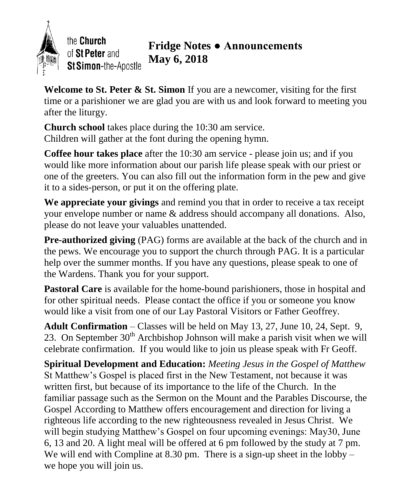

**Welcome to St. Peter & St. Simon** If you are a newcomer, visiting for the first time or a parishioner we are glad you are with us and look forward to meeting you after the liturgy.

**Church school** takes place during the 10:30 am service. Children will gather at the font during the opening hymn.

**Coffee hour takes place** after the 10:30 am service - please join us; and if you would like more information about our parish life please speak with our priest or one of the greeters. You can also fill out the information form in the pew and give it to a sides-person, or put it on the offering plate.

**We appreciate your givings** and remind you that in order to receive a tax receipt your envelope number or name & address should accompany all donations. Also, please do not leave your valuables unattended.

**Pre-authorized giving** (PAG) forms are available at the back of the church and in the pews. We encourage you to support the church through PAG. It is a particular help over the summer months. If you have any questions, please speak to one of the Wardens. Thank you for your support.

Pastoral Care is available for the home-bound parishioners, those in hospital and for other spiritual needs. Please contact the office if you or someone you know would like a visit from one of our Lay Pastoral Visitors or Father Geoffrey.

**Adult Confirmation** – Classes will be held on May 13, 27, June 10, 24, Sept. 9, 23. On September  $30<sup>th</sup>$  Archbishop Johnson will make a parish visit when we will celebrate confirmation. If you would like to join us please speak with Fr Geoff.

**Spiritual Development and Education:** *Meeting Jesus in the Gospel of Matthew* St Matthew's Gospel is placed first in the New Testament, not because it was written first, but because of its importance to the life of the Church. In the familiar passage such as the Sermon on the Mount and the Parables Discourse, the Gospel According to Matthew offers encouragement and direction for living a righteous life according to the new righteousness revealed in Jesus Christ. We will begin studying Matthew's Gospel on four upcoming evenings: May30, June 6, 13 and 20. A light meal will be offered at 6 pm followed by the study at 7 pm. We will end with Compline at 8.30 pm. There is a sign-up sheet in the lobby – we hope you will join us.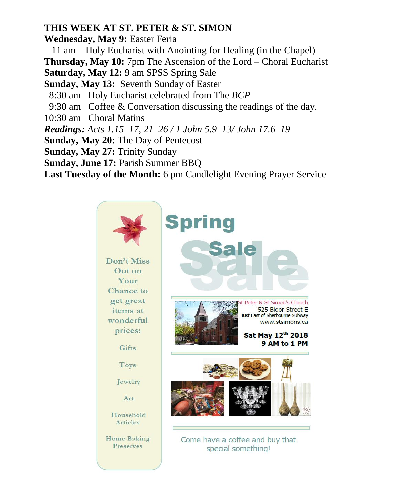## **THIS WEEK AT ST. PETER & ST. SIMON**

**Wednesday, May 9:** Easter Feria 11 am – Holy Eucharist with Anointing for Healing (in the Chapel) **Thursday, May 10:** 7pm The Ascension of the Lord – Choral Eucharist **Saturday, May 12:** 9 am SPSS Spring Sale **Sunday, May 13:** Seventh Sunday of Easter 8:30 am Holy Eucharist celebrated from The *BCP* 9:30 am Coffee & Conversation discussing the readings of the day. 10:30 am Choral Matins *Readings: Acts 1.15–17, 21–26 / 1 John 5.9–13/ John 17.6–19* **Sunday, May 20:** The Day of Pentecost **Sunday, May 27:** Trinity Sunday **Sunday, June 17:** Parish Summer BBQ **Last Tuesday of the Month:** 6 pm Candlelight Evening Prayer Service

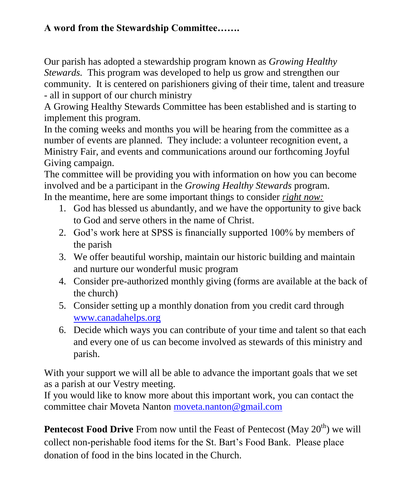## **A word from the Stewardship Committee…….**

Our parish has adopted a stewardship program known as *Growing Healthy Stewards.* This program was developed to help us grow and strengthen our community. It is centered on parishioners giving of their time, talent and treasure - all in support of our church ministry

A Growing Healthy Stewards Committee has been established and is starting to implement this program.

In the coming weeks and months you will be hearing from the committee as a number of events are planned. They include: a volunteer recognition event, a Ministry Fair, and events and communications around our forthcoming Joyful Giving campaign.

The committee will be providing you with information on how you can become involved and be a participant in the *Growing Healthy Stewards* program. In the meantime, here are some important things to consider *right now:*

- 1. God has blessed us abundantly, and we have the opportunity to give back to God and serve others in the name of Christ.
- 2. God's work here at SPSS is financially supported 100% by members of the parish
- 3. We offer beautiful worship, maintain our historic building and maintain and nurture our wonderful music program
- 4. Consider pre-authorized monthly giving (forms are available at the back of the church)
- 5. Consider setting up a monthly donation from you credit card through [www.canadahelps.org](http://www.canadahelps.org/)
- 6. Decide which ways you can contribute of your time and talent so that each and every one of us can become involved as stewards of this ministry and parish.

With your support we will all be able to advance the important goals that we set as a parish at our Vestry meeting.

If you would like to know more about this important work, you can contact the committee chair Moveta Nanton [moveta.nanton@gmail.com](mailto:moveta.nanton@gmail.com)

**Pentecost Food Drive** From now until the Feast of Pentecost (May 20<sup>th</sup>) we will collect non-perishable food items for the St. Bart's Food Bank. Please place donation of food in the bins located in the Church.